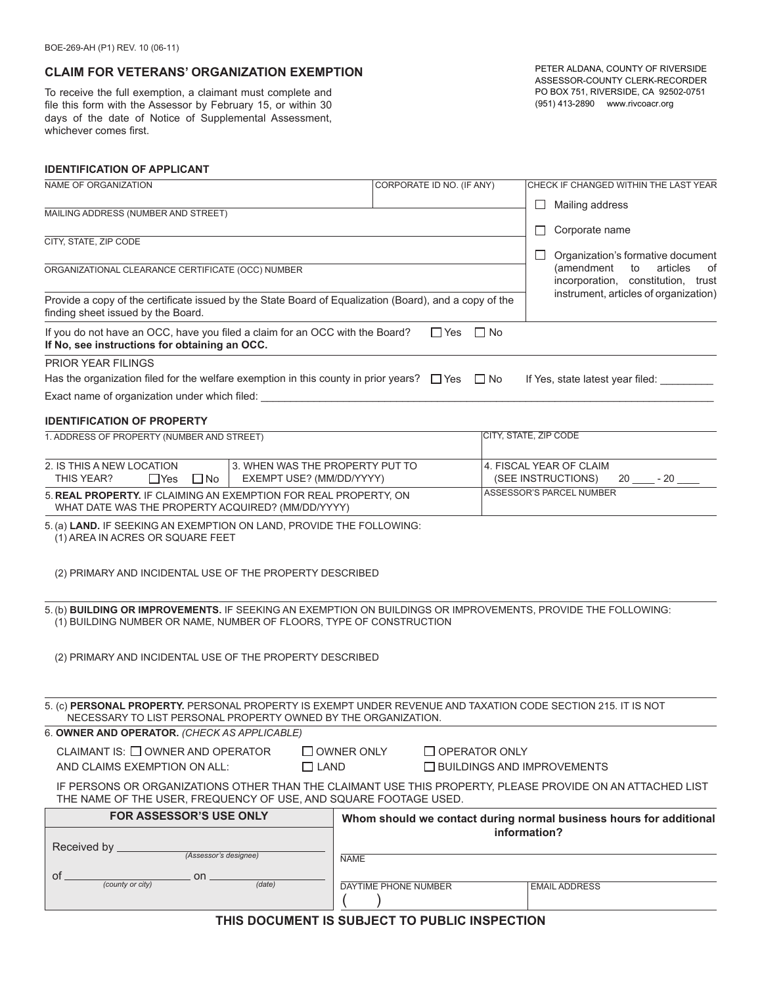## **CLAIM FOR VETERANS' ORGANIZATION EXEMPTION**

To receive the full exemption, a claimant must complete and file this form with the Assessor by February 15, or within 30 days of the date of Notice of Supplemental Assessment, whichever comes first.

PETER ALDANA, COUNTY OF RIVERSIDE ASSESSOR-COUNTY CLERK-RECORDER PO BOX 751, RIVERSIDE, CA 92502-0751 (951) 413-2890 www.rivcoacr.org

### **IDENTIFICATION OF APPLICANT**

| NAME OF ORGANIZATION                                                                                                                                                                 |                                           | CORPORATE ID NO. (IF ANY)    | CHECK IF CHANGED WITHIN THE LAST YEAR                                        |  |
|--------------------------------------------------------------------------------------------------------------------------------------------------------------------------------------|-------------------------------------------|------------------------------|------------------------------------------------------------------------------|--|
| MAILING ADDRESS (NUMBER AND STREET)                                                                                                                                                  |                                           |                              | Mailing address<br>$\mathsf{L}$                                              |  |
|                                                                                                                                                                                      |                                           |                              | Corporate name<br>ப                                                          |  |
| CITY, STATE, ZIP CODE                                                                                                                                                                |                                           |                              |                                                                              |  |
| ORGANIZATIONAL CLEARANCE CERTIFICATE (OCC) NUMBER                                                                                                                                    |                                           |                              | Organization's formative document<br>ப<br>(amendment<br>articles<br>to<br>οf |  |
|                                                                                                                                                                                      |                                           |                              | incorporation, constitution, trust                                           |  |
| Provide a copy of the certificate issued by the State Board of Equalization (Board), and a copy of the<br>finding sheet issued by the Board.                                         |                                           |                              | instrument, articles of organization)                                        |  |
| If you do not have an OCC, have you filed a claim for an OCC with the Board?<br>If No, see instructions for obtaining an OCC.                                                        |                                           | $\Box$ No<br>$\Box$ Yes      |                                                                              |  |
| <b>PRIOR YEAR FILINGS</b>                                                                                                                                                            |                                           |                              |                                                                              |  |
| Has the organization filed for the welfare exemption in this county in prior years? $\Box$ Yes $\Box$ No                                                                             |                                           |                              | If Yes, state latest year filed:                                             |  |
| Exact name of organization under which filed:                                                                                                                                        |                                           |                              |                                                                              |  |
| <b>IDENTIFICATION OF PROPERTY</b>                                                                                                                                                    |                                           |                              |                                                                              |  |
| 1. ADDRESS OF PROPERTY (NUMBER AND STREET)                                                                                                                                           |                                           | <b>CITY, STATE, ZIP CODE</b> |                                                                              |  |
| 2. IS THIS A NEW LOCATION<br>3. WHEN WAS THE PROPERTY PUT TO<br>THIS YEAR?<br>EXEMPT USE? (MM/DD/YYYY)<br>$\Box$ Yes<br>$\square$ No                                                 |                                           |                              | 4. FISCAL YEAR OF CLAIM<br>(SEE INSTRUCTIONS)<br>$-20$<br>20                 |  |
| 5. REAL PROPERTY. IF CLAIMING AN EXEMPTION FOR REAL PROPERTY, ON<br>WHAT DATE WAS THE PROPERTY ACQUIRED? (MM/DD/YYYY)                                                                |                                           |                              | ASSESSOR'S PARCEL NUMBER                                                     |  |
| 5. (a) LAND. IF SEEKING AN EXEMPTION ON LAND, PROVIDE THE FOLLOWING:<br>(1) AREA IN ACRES OR SQUARE FEET<br>(2) PRIMARY AND INCIDENTAL USE OF THE PROPERTY DESCRIBED                 |                                           |                              |                                                                              |  |
| 5. (b) BUILDING OR IMPROVEMENTS. IF SEEKING AN EXEMPTION ON BUILDINGS OR IMPROVEMENTS, PROVIDE THE FOLLOWING:<br>(1) BUILDING NUMBER OR NAME, NUMBER OF FLOORS, TYPE OF CONSTRUCTION |                                           |                              |                                                                              |  |
| (2) PRIMARY AND INCIDENTAL USE OF THE PROPERTY DESCRIBED                                                                                                                             |                                           |                              |                                                                              |  |
| 5. (c) PERSONAL PROPERTY. PERSONAL PROPERTY IS EXEMPT UNDER REVENUE AND TAXATION CODE SECTION 215. IT IS NOT<br>NECESSARY TO LIST PERSONAL PROPERTY OWNED BY THE ORGANIZATION.       |                                           |                              |                                                                              |  |
| 6. OWNER AND OPERATOR. (CHECK AS APPLICABLE)                                                                                                                                         |                                           |                              |                                                                              |  |
| CLAIMANT IS: $\Box$ OWNER AND OPERATOR                                                                                                                                               | $\Box$ OWNER ONLY<br>$\Box$ OPERATOR ONLY |                              |                                                                              |  |
| AND CLAIMS EXEMPTION ON ALL:<br>$\Box$ LAND                                                                                                                                          | $\Box$ BUILDINGS AND IMPROVEMENTS         |                              |                                                                              |  |
| IF PERSONS OR ORGANIZATIONS OTHER THAN THE CLAIMANT USE THIS PROPERTY, PLEASE PROVIDE ON AN ATTACHED LIST<br>THE NAME OF THE USER, FREQUENCY OF USE, AND SQUARE FOOTAGE USED.        |                                           |                              |                                                                              |  |
| <b>FOR ASSESSOR'S USE ONLY</b>                                                                                                                                                       |                                           |                              | Whom should we contact during normal business hours for additional           |  |
| Received by                                                                                                                                                                          |                                           |                              | information?                                                                 |  |
| (Assessor's designee)                                                                                                                                                                | <b>NAME</b>                               |                              |                                                                              |  |
| of.<br>on<br>(county or city)<br>(date)                                                                                                                                              | <b>DAYTIME PHONE NUMBER</b>               |                              | <b>EMAIL ADDRESS</b>                                                         |  |
|                                                                                                                                                                                      |                                           |                              |                                                                              |  |
| THIS DOCUMENT IS SUBJECT TO PUBLIC INSPECTION                                                                                                                                        |                                           |                              |                                                                              |  |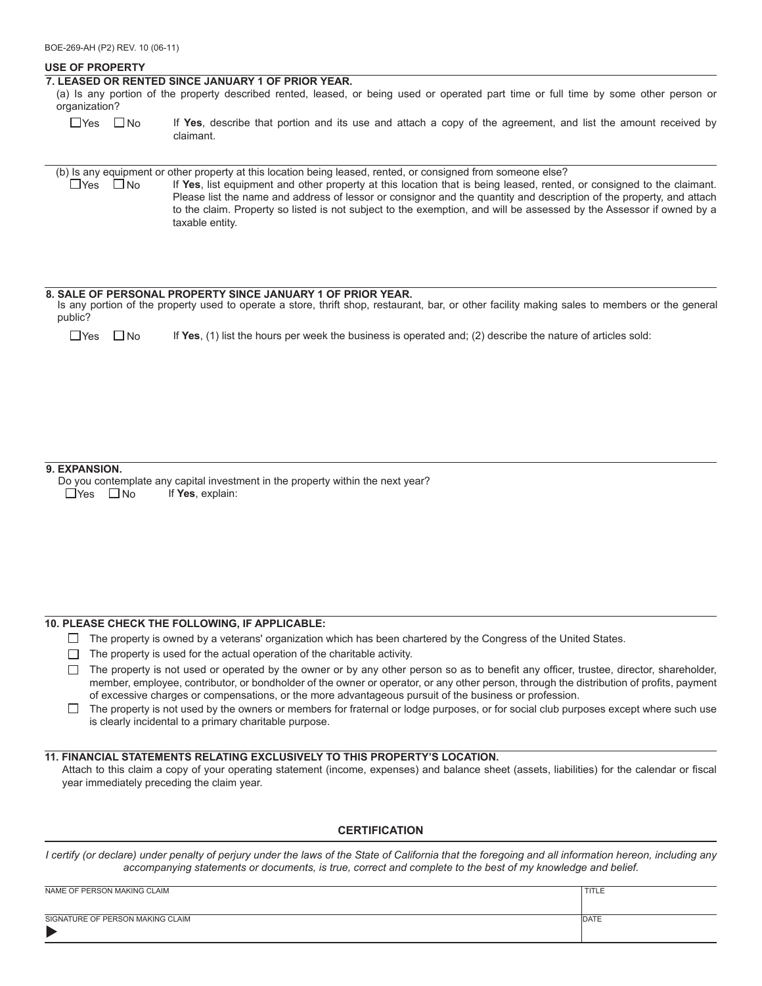### **USE OF PROPERTY**

#### **7. LEASED OR RENTED SINCE JANUARY 1 OF PRIOR YEAR.**

(a) Is any portion of the property described rented, leased, or being used or operated part time or full time by some other person or organization?

 $\Box$ Yes  $\Box$ No If **Yes**, describe that portion and its use and attach a copy of the agreement, and list the amount received by claimant.

 $\Box$ Yes  $\Box$ No (b) Is any equipment or other property at this location being leased, rented, or consigned from someone else? If **Yes**, list equipment and other property at this location that is being leased, rented, or consigned to the claimant. Please list the name and address of lessor or consignor and the quantity and description of the property, and attach to the claim. Property so listed is not subject to the exemption, and will be assessed by the Assessor if owned by a taxable entity.

### **8. SALE OF PERSONAL PROPERTY SINCE JANUARY 1 OF PRIOR YEAR.**

Is any portion of the property used to operate a store, thrift shop, restaurant, bar, or other facility making sales to members or the general public?

| $\square$ Yes $\square$ No |  | If Yes, (1) list the hours per week the business is operated and; (2) describe the nature of articles sold: |
|----------------------------|--|-------------------------------------------------------------------------------------------------------------|
|----------------------------|--|-------------------------------------------------------------------------------------------------------------|

### **9. EXPANSION.**

 $\Box$ Yes  $\Box$ No Do you contemplate any capital investment in the property within the next year? If **Yes**, explain:

### **10. PLEASE CHECK THE FOLLOWING, IF APPLICABLE:**

- $\Box$  The property is owned by a veterans' organization which has been chartered by the Congress of the United States.
- $\Box$  The property is used for the actual operation of the charitable activity.
- $\Box$  The property is not used or operated by the owner or by any other person so as to benefit any officer, trustee, director, shareholder, member, employee, contributor, or bondholder of the owner or operator, or any other person, through the distribution of profits, payment of excessive charges or compensations, or the more advantageous pursuit of the business or profession.
- $\Box$  The property is not used by the owners or members for fraternal or lodge purposes, or for social club purposes except where such use is clearly incidental to a primary charitable purpose.

### **11. FINANCIAL STATEMENTS RELATING EXCLUSIVELY TO THIS PROPERTY'S LOCATION.**

Attach to this claim a copy of your operating statement (income, expenses) and balance sheet (assets, liabilities) for the calendar or fiscal year immediately preceding the claim year.

### **CERTIFICATION**

*I certify (or declare) under penalty of perjury under the laws of the State of California that the foregoing and all information hereon, including any accompanying statements or documents, is true, correct and complete to the best of my knowledge and belief.*

| NAME OF PERSON MAKING CLAIM      | TITLE        |
|----------------------------------|--------------|
|                                  |              |
| SIGNATURE OF PERSON MAKING CLAIM | <b>IDATE</b> |
|                                  |              |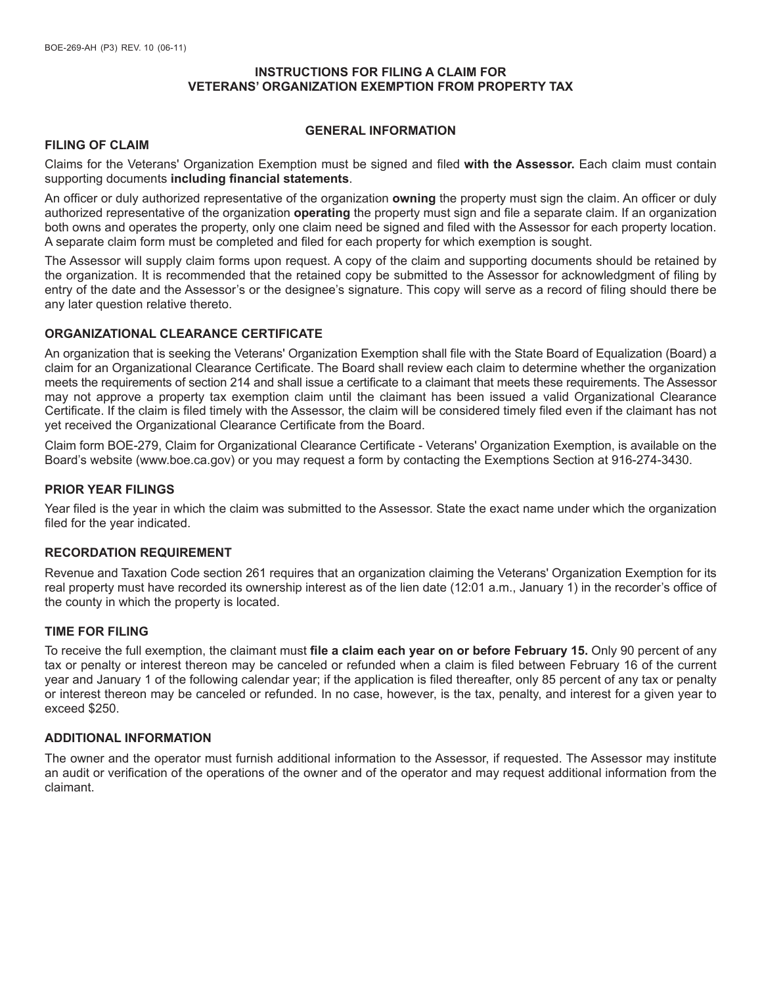# **INSTRUCTIONS FOR FILING A CLAIM FOR VETERANS' ORGANIZATION EXEMPTION FROM PROPERTY TAX**

## **GENERAL INFORMATION**

## **FILING OF CLAIM**

Claims for the Veterans' Organization Exemption must be signed and filed **with the Assessor.** Each claim must contain supporting documents **including financial statements**.

An officer or duly authorized representative of the organization **owning** the property must sign the claim. An officer or duly authorized representative of the organization **operating** the property must sign and file a separate claim. If an organization both owns and operates the property, only one claim need be signed and filed with the Assessor for each property location. A separate claim form must be completed and filed for each property for which exemption is sought.

The Assessor will supply claim forms upon request. A copy of the claim and supporting documents should be retained by the organization. It is recommended that the retained copy be submitted to the Assessor for acknowledgment of filing by entry of the date and the Assessor's or the designee's signature. This copy will serve as a record of filing should there be any later question relative thereto.

## **ORGANIZATIONAL CLEARANCE CERTIFICATE**

An organization that is seeking the Veterans' Organization Exemption shall file with the State Board of Equalization (Board) a claim for an Organizational Clearance Certificate. The Board shall review each claim to determine whether the organization meets the requirements of section 214 and shall issue a certificate to a claimant that meets these requirements. The Assessor may not approve a property tax exemption claim until the claimant has been issued a valid Organizational Clearance Certificate. If the claim is filed timely with the Assessor, the claim will be considered timely filed even if the claimant has not yet received the Organizational Clearance Certificate from the Board.

Claim form BOE-279, Claim for Organizational Clearance Certificate - Veterans' Organization Exemption, is available on the Board's website (www.boe.ca.gov) or you may request a form by contacting the Exemptions Section at 916-274-3430.

## **PRIOR YEAR FILINGS**

Year filed is the year in which the claim was submitted to the Assessor. State the exact name under which the organization filed for the year indicated.

## **RECORDATION REQUIREMENT**

Revenue and Taxation Code section 261 requires that an organization claiming the Veterans' Organization Exemption for its real property must have recorded its ownership interest as of the lien date (12:01 a.m., January 1) in the recorder's office of the county in which the property is located.

## **TIME FOR FILING**

To receive the full exemption, the claimant must **file a claim each year on or before February 15.** Only 90 percent of any tax or penalty or interest thereon may be canceled or refunded when a claim is filed between February 16 of the current year and January 1 of the following calendar year; if the application is filed thereafter, only 85 percent of any tax or penalty or interest thereon may be canceled or refunded. In no case, however, is the tax, penalty, and interest for a given year to exceed \$250.

## **ADDITIONAL INFORMATION**

The owner and the operator must furnish additional information to the Assessor, if requested. The Assessor may institute an audit or verification of the operations of the owner and of the operator and may request additional information from the claimant.